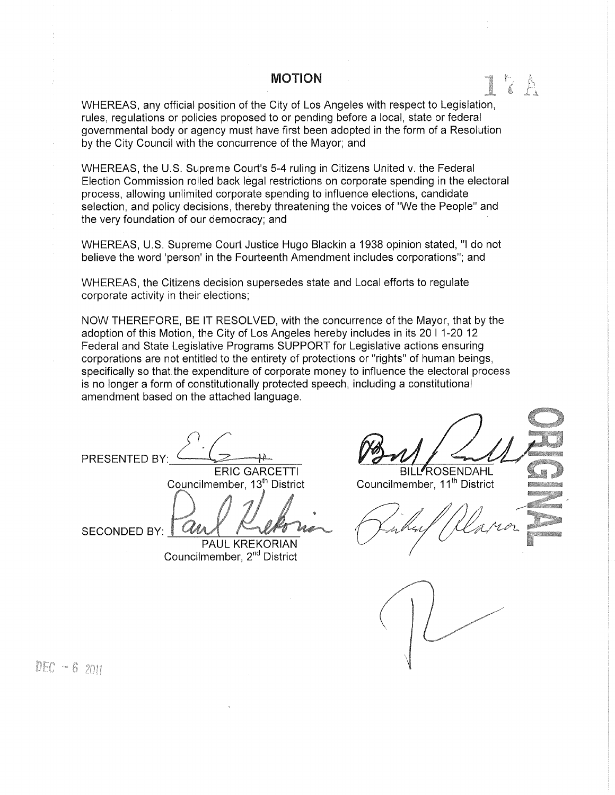# MOTION

WHEREAS, any official position of the City of Los Angeles with respect to Legislation, rules, regulations or policies proposed to or pending before a local, state or federal governmental body or agency must have first been adopted in the form of a Resolution by the City Council with the concurrence of the Mayor; and

WHEREAS, the U.S. Supreme Court's 5-4 ruling in Citizens United v. the Federal Election Commission rolled back legal restrictions on corporate spending in the electoral process, allowing unlimited corporate spending to influence elections, candidate selection, and policy decisions, thereby threatening the voices of "We the People" and the very foundation of our democracy; and

WHEREAS, U.S. Supreme Court Justice Hugo Blackin a 1938 opinion stated, "I do not believe the word 'person' in the Fourteenth Amendment includes corporations"; and

WHEREAS, the Citizens decision supersedes state and Local efforts to regulate corporate activity in their elections;

NOW THEREFORE, BE IT RESOLVED, with the concurrence of the Mayor, that by the adoption of this Motion, the City of Los Angeles hereby includes in its 20 I 1-20 12 Federal and State Legislative Programs SUPPORT for Legislative actions ensuring corporations are not entitled to the entirety of protections or "rights" of human beings, specifically so that the expenditure of corporate money to influence the electoral process is no longer a form of constitutionally protected speech, including a constitutional amendment based on the attached language.

PRESENTED BY ERIC GARCETTI Councilmember, 13<sup>th</sup> District

SECONDED BY: PAUL KREKORIAN

Councilmember, 2nd District

BILL<sup>I</sup>ROSENDAHL

Councilmember, 11<sup>th</sup> District



DEC  $-62011$